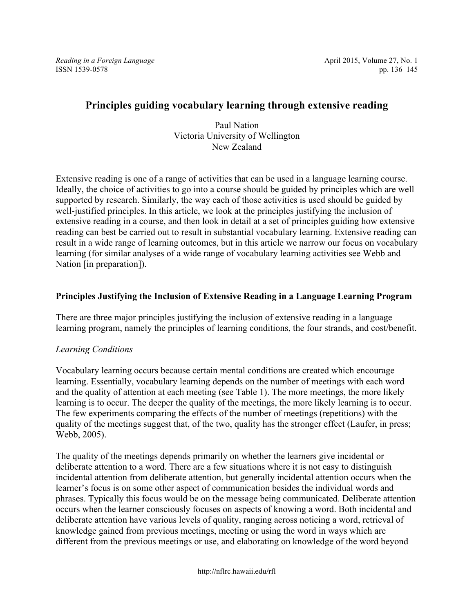*Reading in a Foreign Language* **April 2015, Volume 27, No. 1** April 2015, Volume 27, No. 1 ISSN 1539-0578 pp. 136–145

# **Principles guiding vocabulary learning through extensive reading**

Paul Nation Victoria University of Wellington New Zealand

Extensive reading is one of a range of activities that can be used in a language learning course. Ideally, the choice of activities to go into a course should be guided by principles which are well supported by research. Similarly, the way each of those activities is used should be guided by well-justified principles. In this article, we look at the principles justifying the inclusion of extensive reading in a course, and then look in detail at a set of principles guiding how extensive reading can best be carried out to result in substantial vocabulary learning. Extensive reading can result in a wide range of learning outcomes, but in this article we narrow our focus on vocabulary learning (for similar analyses of a wide range of vocabulary learning activities see Webb and Nation [in preparation]).

## **Principles Justifying the Inclusion of Extensive Reading in a Language Learning Program**

There are three major principles justifying the inclusion of extensive reading in a language learning program, namely the principles of learning conditions, the four strands, and cost/benefit.

## *Learning Conditions*

Vocabulary learning occurs because certain mental conditions are created which encourage learning. Essentially, vocabulary learning depends on the number of meetings with each word and the quality of attention at each meeting (see Table 1). The more meetings, the more likely learning is to occur. The deeper the quality of the meetings, the more likely learning is to occur. The few experiments comparing the effects of the number of meetings (repetitions) with the quality of the meetings suggest that, of the two, quality has the stronger effect (Laufer, in press; Webb, 2005).

The quality of the meetings depends primarily on whether the learners give incidental or deliberate attention to a word. There are a few situations where it is not easy to distinguish incidental attention from deliberate attention, but generally incidental attention occurs when the learner's focus is on some other aspect of communication besides the individual words and phrases. Typically this focus would be on the message being communicated. Deliberate attention occurs when the learner consciously focuses on aspects of knowing a word. Both incidental and deliberate attention have various levels of quality, ranging across noticing a word, retrieval of knowledge gained from previous meetings, meeting or using the word in ways which are different from the previous meetings or use, and elaborating on knowledge of the word beyond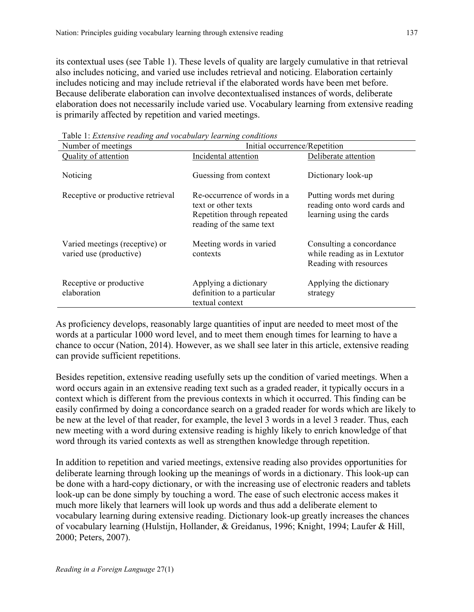its contextual uses (see Table 1). These levels of quality are largely cumulative in that retrieval also includes noticing, and varied use includes retrieval and noticing. Elaboration certainly includes noticing and may include retrieval if the elaborated words have been met before. Because deliberate elaboration can involve decontextualised instances of words, deliberate elaboration does not necessarily include varied use. Vocabulary learning from extensive reading is primarily affected by repetition and varied meetings.

| Number of meetings                                        | Initial occurrence/Repetition                                                                                 |                                                                                     |
|-----------------------------------------------------------|---------------------------------------------------------------------------------------------------------------|-------------------------------------------------------------------------------------|
| Quality of attention                                      | Incidental attention                                                                                          | Deliberate attention                                                                |
| Noticing                                                  | Guessing from context                                                                                         | Dictionary look-up                                                                  |
| Receptive or productive retrieval                         | Re-occurrence of words in a<br>text or other texts<br>Repetition through repeated<br>reading of the same text | Putting words met during<br>reading onto word cards and<br>learning using the cards |
| Varied meetings (receptive) or<br>varied use (productive) | Meeting words in varied<br>contexts                                                                           | Consulting a concordance<br>while reading as in Lextutor<br>Reading with resources  |
| Receptive or productive<br>elaboration                    | Applying a dictionary<br>definition to a particular<br>textual context                                        | Applying the dictionary<br>strategy                                                 |

Table 1: *Extensive reading and vocabulary learning conditions*

As proficiency develops, reasonably large quantities of input are needed to meet most of the words at a particular 1000 word level, and to meet them enough times for learning to have a chance to occur (Nation, 2014). However, as we shall see later in this article, extensive reading can provide sufficient repetitions.

Besides repetition, extensive reading usefully sets up the condition of varied meetings. When a word occurs again in an extensive reading text such as a graded reader, it typically occurs in a context which is different from the previous contexts in which it occurred. This finding can be easily confirmed by doing a concordance search on a graded reader for words which are likely to be new at the level of that reader, for example, the level 3 words in a level 3 reader. Thus, each new meeting with a word during extensive reading is highly likely to enrich knowledge of that word through its varied contexts as well as strengthen knowledge through repetition.

In addition to repetition and varied meetings, extensive reading also provides opportunities for deliberate learning through looking up the meanings of words in a dictionary. This look-up can be done with a hard-copy dictionary, or with the increasing use of electronic readers and tablets look-up can be done simply by touching a word. The ease of such electronic access makes it much more likely that learners will look up words and thus add a deliberate element to vocabulary learning during extensive reading. Dictionary look-up greatly increases the chances of vocabulary learning (Hulstijn, Hollander, & Greidanus, 1996; Knight, 1994; Laufer & Hill, 2000; Peters, 2007).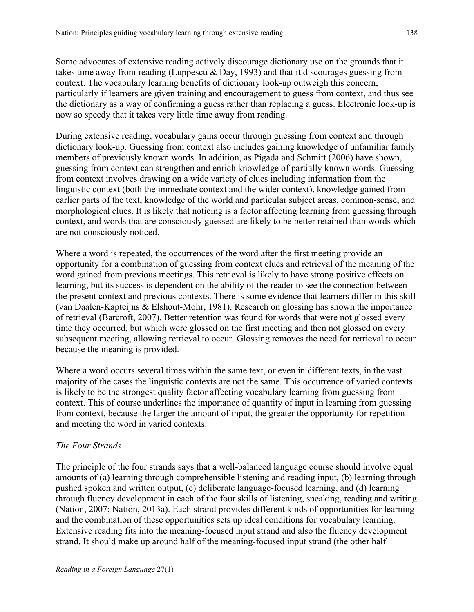Some advocates of extensive reading actively discourage dictionary use on the grounds that it takes time away from reading (Luppescu & Day, 1993) and that it discourages guessing from context. The vocabulary learning benefits of dictionary look-up outweigh this concern, particularly if learners are given training and encouragement to guess from context, and thus see the dictionary as a way of confirming a guess rather than replacing a guess. Electronic look-up is now so speedy that it takes very little time away from reading.

During extensive reading, vocabulary gains occur through guessing from context and through dictionary look-up. Guessing from context also includes gaining knowledge of unfamiliar family members of previously known words. In addition, as Pigada and Schmitt (2006) have shown, guessing from context can strengthen and enrich knowledge of partially known words. Guessing from context involves drawing on a wide variety of clues including information from the linguistic context (both the immediate context and the wider context), knowledge gained from earlier parts of the text, knowledge of the world and particular subject areas, common-sense, and morphological clues. It is likely that noticing is a factor affecting learning from guessing through context, and words that are consciously guessed are likely to be better retained than words which are not consciously noticed.

Where a word is repeated, the occurrences of the word after the first meeting provide an opportunity for a combination of guessing from context clues and retrieval of the meaning of the word gained from previous meetings. This retrieval is likely to have strong positive effects on learning, but its success is dependent on the ability of the reader to see the connection between the present context and previous contexts. There is some evidence that learners differ in this skill (van Daalen-Kapteijns & Elshout-Mohr, 1981). Research on glossing has shown the importance of retrieval (Barcroft, 2007). Better retention was found for words that were not glossed every time they occurred, but which were glossed on the first meeting and then not glossed on every subsequent meeting, allowing retrieval to occur. Glossing removes the need for retrieval to occur because the meaning is provided.

Where a word occurs several times within the same text, or even in different texts, in the vast majority of the cases the linguistic contexts are not the same. This occurrence of varied contexts is likely to be the strongest quality factor affecting vocabulary learning from guessing from context. This of course underlines the importance of quantity of input in learning from guessing from context, because the larger the amount of input, the greater the opportunity for repetition and meeting the word in varied contexts.

## *The Four Strands*

The principle of the four strands says that a well-balanced language course should involve equal amounts of (a) learning through comprehensible listening and reading input, (b) learning through pushed spoken and written output, (c) deliberate language-focused learning, and (d) learning through fluency development in each of the four skills of listening, speaking, reading and writing (Nation, 2007; Nation, 2013a). Each strand provides different kinds of opportunities for learning and the combination of these opportunities sets up ideal conditions for vocabulary learning. Extensive reading fits into the meaning-focused input strand and also the fluency development strand. It should make up around half of the meaning-focused input strand (the other half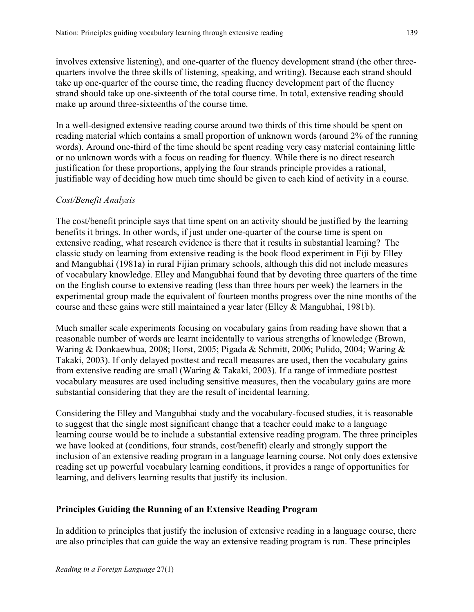involves extensive listening), and one-quarter of the fluency development strand (the other threequarters involve the three skills of listening, speaking, and writing). Because each strand should take up one-quarter of the course time, the reading fluency development part of the fluency strand should take up one-sixteenth of the total course time. In total, extensive reading should make up around three-sixteenths of the course time.

In a well-designed extensive reading course around two thirds of this time should be spent on reading material which contains a small proportion of unknown words (around 2% of the running words). Around one-third of the time should be spent reading very easy material containing little or no unknown words with a focus on reading for fluency. While there is no direct research justification for these proportions, applying the four strands principle provides a rational, justifiable way of deciding how much time should be given to each kind of activity in a course.

## *Cost/Benefit Analysis*

The cost/benefit principle says that time spent on an activity should be justified by the learning benefits it brings. In other words, if just under one-quarter of the course time is spent on extensive reading, what research evidence is there that it results in substantial learning? The classic study on learning from extensive reading is the book flood experiment in Fiji by Elley and Mangubhai (1981a) in rural Fijian primary schools, although this did not include measures of vocabulary knowledge. Elley and Mangubhai found that by devoting three quarters of the time on the English course to extensive reading (less than three hours per week) the learners in the experimental group made the equivalent of fourteen months progress over the nine months of the course and these gains were still maintained a year later (Elley & Mangubhai, 1981b).

Much smaller scale experiments focusing on vocabulary gains from reading have shown that a reasonable number of words are learnt incidentally to various strengths of knowledge (Brown, Waring & Donkaewbua, 2008; Horst, 2005; Pigada & Schmitt, 2006; Pulido, 2004; Waring & Takaki, 2003). If only delayed posttest and recall measures are used, then the vocabulary gains from extensive reading are small (Waring & Takaki, 2003). If a range of immediate posttest vocabulary measures are used including sensitive measures, then the vocabulary gains are more substantial considering that they are the result of incidental learning.

Considering the Elley and Mangubhai study and the vocabulary-focused studies, it is reasonable to suggest that the single most significant change that a teacher could make to a language learning course would be to include a substantial extensive reading program. The three principles we have looked at (conditions, four strands, cost/benefit) clearly and strongly support the inclusion of an extensive reading program in a language learning course. Not only does extensive reading set up powerful vocabulary learning conditions, it provides a range of opportunities for learning, and delivers learning results that justify its inclusion.

## **Principles Guiding the Running of an Extensive Reading Program**

In addition to principles that justify the inclusion of extensive reading in a language course, there are also principles that can guide the way an extensive reading program is run. These principles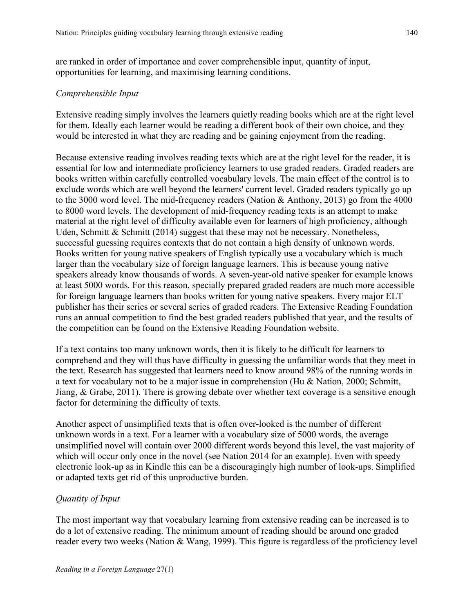are ranked in order of importance and cover comprehensible input, quantity of input, opportunities for learning, and maximising learning conditions.

#### *Comprehensible Input*

Extensive reading simply involves the learners quietly reading books which are at the right level for them. Ideally each learner would be reading a different book of their own choice, and they would be interested in what they are reading and be gaining enjoyment from the reading.

Because extensive reading involves reading texts which are at the right level for the reader, it is essential for low and intermediate proficiency learners to use graded readers. Graded readers are books written within carefully controlled vocabulary levels. The main effect of the control is to exclude words which are well beyond the learners' current level. Graded readers typically go up to the 3000 word level. The mid-frequency readers (Nation & Anthony, 2013) go from the 4000 to 8000 word levels. The development of mid-frequency reading texts is an attempt to make material at the right level of difficulty available even for learners of high proficiency, although Uden, Schmitt & Schmitt (2014) suggest that these may not be necessary. Nonetheless, successful guessing requires contexts that do not contain a high density of unknown words. Books written for young native speakers of English typically use a vocabulary which is much larger than the vocabulary size of foreign language learners. This is because young native speakers already know thousands of words. A seven-year-old native speaker for example knows at least 5000 words. For this reason, specially prepared graded readers are much more accessible for foreign language learners than books written for young native speakers. Every major ELT publisher has their series or several series of graded readers. The Extensive Reading Foundation runs an annual competition to find the best graded readers published that year, and the results of the competition can be found on the Extensive Reading Foundation website.

If a text contains too many unknown words, then it is likely to be difficult for learners to comprehend and they will thus have difficulty in guessing the unfamiliar words that they meet in the text. Research has suggested that learners need to know around 98% of the running words in a text for vocabulary not to be a major issue in comprehension (Hu & Nation, 2000; Schmitt, Jiang, & Grabe, 2011). There is growing debate over whether text coverage is a sensitive enough factor for determining the difficulty of texts.

Another aspect of unsimplified texts that is often over-looked is the number of different unknown words in a text. For a learner with a vocabulary size of 5000 words, the average unsimplified novel will contain over 2000 different words beyond this level, the vast majority of which will occur only once in the novel (see Nation 2014 for an example). Even with speedy electronic look-up as in Kindle this can be a discouragingly high number of look-ups. Simplified or adapted texts get rid of this unproductive burden.

## *Quantity of Input*

The most important way that vocabulary learning from extensive reading can be increased is to do a lot of extensive reading. The minimum amount of reading should be around one graded reader every two weeks (Nation & Wang, 1999). This figure is regardless of the proficiency level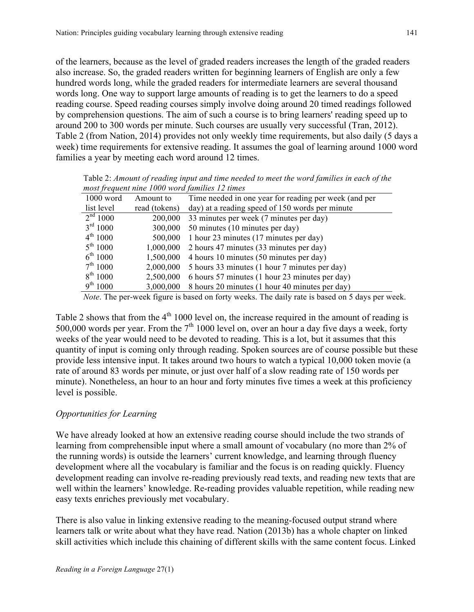of the learners, because as the level of graded readers increases the length of the graded readers also increase. So, the graded readers written for beginning learners of English are only a few hundred words long, while the graded readers for intermediate learners are several thousand words long. One way to support large amounts of reading is to get the learners to do a speed reading course. Speed reading courses simply involve doing around 20 timed readings followed by comprehension questions. The aim of such a course is to bring learners' reading speed up to around 200 to 300 words per minute. Such courses are usually very successful (Tran, 2012). Table 2 (from Nation, 2014) provides not only weekly time requirements, but also daily (5 days a week) time requirements for extensive reading. It assumes the goal of learning around 1000 word families a year by meeting each word around 12 times.

| most frequent nine 1000 word families 12 times |               |                                                       |  |
|------------------------------------------------|---------------|-------------------------------------------------------|--|
| $1000$ word                                    | Amount to     | Time needed in one year for reading per week (and per |  |
| list level                                     | read (tokens) | day) at a reading speed of 150 words per minute       |  |
| 2 <sup>nd</sup> 1000                           | 200,000       | 33 minutes per week (7 minutes per day)               |  |
| $3^{\rm rd} 1000$                              | 300,000       | 50 minutes (10 minutes per day)                       |  |
| $4^{th}$ 1000                                  | 500,000       | 1 hour 23 minutes (17 minutes per day)                |  |
| $5^{\text{th}} 1000$                           | 1,000,000     | 2 hours 47 minutes (33 minutes per day)               |  |
| $6^{th}$ 1000                                  | 1,500,000     | 4 hours 10 minutes (50 minutes per day)               |  |
| $7^{\text{th}}$ 1000                           | 2,000,000     | 5 hours 33 minutes (1 hour 7 minutes per day)         |  |
| $8^{th}$ 1000                                  | 2,500,000     | 6 hours 57 minutes (1 hour 23 minutes per day)        |  |
| $9^{th}$ 1000                                  | 3,000,000     | 8 hours 20 minutes (1 hour 40 minutes per day)        |  |

 Table 2: *Amount of reading input and time needed to meet the word families in each of the most frequent nine 1000 word families 12 times*

*Note*. The per-week figure is based on forty weeks. The daily rate is based on 5 days per week.

Table 2 shows that from the  $4<sup>th</sup> 1000$  level on, the increase required in the amount of reading is 500,000 words per year. From the  $7<sup>th</sup>$  1000 level on, over an hour a day five days a week, forty weeks of the year would need to be devoted to reading. This is a lot, but it assumes that this quantity of input is coming only through reading. Spoken sources are of course possible but these provide less intensive input. It takes around two hours to watch a typical 10,000 token movie (a rate of around 83 words per minute, or just over half of a slow reading rate of 150 words per minute). Nonetheless, an hour to an hour and forty minutes five times a week at this proficiency level is possible.

## *Opportunities for Learning*

We have already looked at how an extensive reading course should include the two strands of learning from comprehensible input where a small amount of vocabulary (no more than 2% of the running words) is outside the learners' current knowledge, and learning through fluency development where all the vocabulary is familiar and the focus is on reading quickly. Fluency development reading can involve re-reading previously read texts, and reading new texts that are well within the learners' knowledge. Re-reading provides valuable repetition, while reading new easy texts enriches previously met vocabulary.

There is also value in linking extensive reading to the meaning-focused output strand where learners talk or write about what they have read. Nation (2013b) has a whole chapter on linked skill activities which include this chaining of different skills with the same content focus. Linked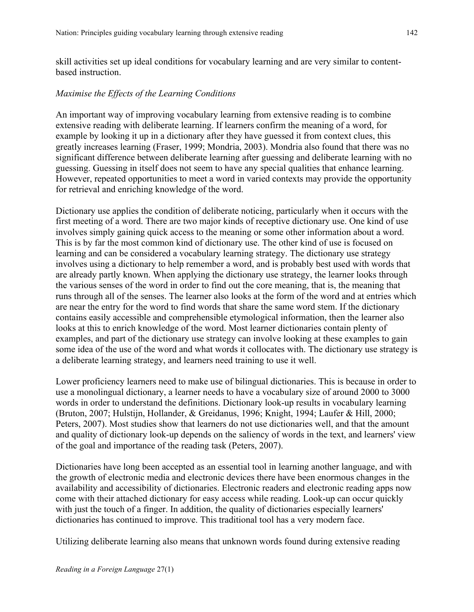skill activities set up ideal conditions for vocabulary learning and are very similar to contentbased instruction.

#### *Maximise the Effects of the Learning Conditions*

An important way of improving vocabulary learning from extensive reading is to combine extensive reading with deliberate learning. If learners confirm the meaning of a word, for example by looking it up in a dictionary after they have guessed it from context clues, this greatly increases learning (Fraser, 1999; Mondria, 2003). Mondria also found that there was no significant difference between deliberate learning after guessing and deliberate learning with no guessing. Guessing in itself does not seem to have any special qualities that enhance learning. However, repeated opportunities to meet a word in varied contexts may provide the opportunity for retrieval and enriching knowledge of the word.

Dictionary use applies the condition of deliberate noticing, particularly when it occurs with the first meeting of a word. There are two major kinds of receptive dictionary use. One kind of use involves simply gaining quick access to the meaning or some other information about a word. This is by far the most common kind of dictionary use. The other kind of use is focused on learning and can be considered a vocabulary learning strategy. The dictionary use strategy involves using a dictionary to help remember a word, and is probably best used with words that are already partly known. When applying the dictionary use strategy, the learner looks through the various senses of the word in order to find out the core meaning, that is, the meaning that runs through all of the senses. The learner also looks at the form of the word and at entries which are near the entry for the word to find words that share the same word stem. If the dictionary contains easily accessible and comprehensible etymological information, then the learner also looks at this to enrich knowledge of the word. Most learner dictionaries contain plenty of examples, and part of the dictionary use strategy can involve looking at these examples to gain some idea of the use of the word and what words it collocates with. The dictionary use strategy is a deliberate learning strategy, and learners need training to use it well.

Lower proficiency learners need to make use of bilingual dictionaries. This is because in order to use a monolingual dictionary, a learner needs to have a vocabulary size of around 2000 to 3000 words in order to understand the definitions. Dictionary look-up results in vocabulary learning (Bruton, 2007; Hulstijn, Hollander, & Greidanus, 1996; Knight, 1994; Laufer & Hill, 2000; Peters, 2007). Most studies show that learners do not use dictionaries well, and that the amount and quality of dictionary look-up depends on the saliency of words in the text, and learners' view of the goal and importance of the reading task (Peters, 2007).

Dictionaries have long been accepted as an essential tool in learning another language, and with the growth of electronic media and electronic devices there have been enormous changes in the availability and accessibility of dictionaries. Electronic readers and electronic reading apps now come with their attached dictionary for easy access while reading. Look-up can occur quickly with just the touch of a finger. In addition, the quality of dictionaries especially learners' dictionaries has continued to improve. This traditional tool has a very modern face.

Utilizing deliberate learning also means that unknown words found during extensive reading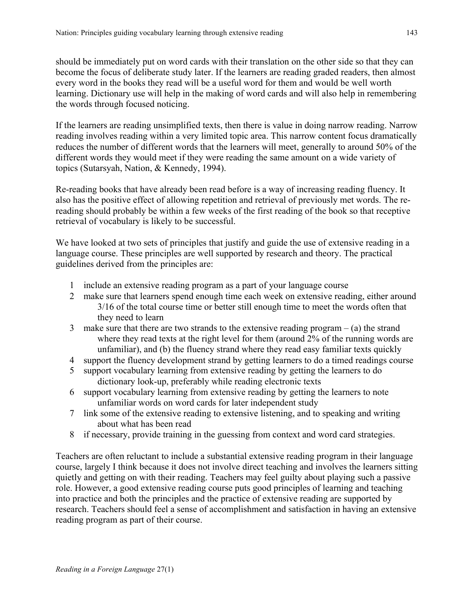should be immediately put on word cards with their translation on the other side so that they can become the focus of deliberate study later. If the learners are reading graded readers, then almost every word in the books they read will be a useful word for them and would be well worth learning. Dictionary use will help in the making of word cards and will also help in remembering the words through focused noticing.

If the learners are reading unsimplified texts, then there is value in doing narrow reading. Narrow reading involves reading within a very limited topic area. This narrow content focus dramatically reduces the number of different words that the learners will meet, generally to around 50% of the different words they would meet if they were reading the same amount on a wide variety of topics (Sutarsyah, Nation, & Kennedy, 1994).

Re-reading books that have already been read before is a way of increasing reading fluency. It also has the positive effect of allowing repetition and retrieval of previously met words. The rereading should probably be within a few weeks of the first reading of the book so that receptive retrieval of vocabulary is likely to be successful.

We have looked at two sets of principles that justify and guide the use of extensive reading in a language course. These principles are well supported by research and theory. The practical guidelines derived from the principles are:

- 1 include an extensive reading program as a part of your language course
- 2 make sure that learners spend enough time each week on extensive reading, either around 3/16 of the total course time or better still enough time to meet the words often that they need to learn
- 3 make sure that there are two strands to the extensive reading program  $-$  (a) the strand where they read texts at the right level for them (around 2% of the running words are unfamiliar), and (b) the fluency strand where they read easy familiar texts quickly
- 4 support the fluency development strand by getting learners to do a timed readings course
- 5 support vocabulary learning from extensive reading by getting the learners to do dictionary look-up, preferably while reading electronic texts
- 6 support vocabulary learning from extensive reading by getting the learners to note unfamiliar words on word cards for later independent study
- 7 link some of the extensive reading to extensive listening, and to speaking and writing about what has been read
- 8 if necessary, provide training in the guessing from context and word card strategies.

Teachers are often reluctant to include a substantial extensive reading program in their language course, largely I think because it does not involve direct teaching and involves the learners sitting quietly and getting on with their reading. Teachers may feel guilty about playing such a passive role. However, a good extensive reading course puts good principles of learning and teaching into practice and both the principles and the practice of extensive reading are supported by research. Teachers should feel a sense of accomplishment and satisfaction in having an extensive reading program as part of their course.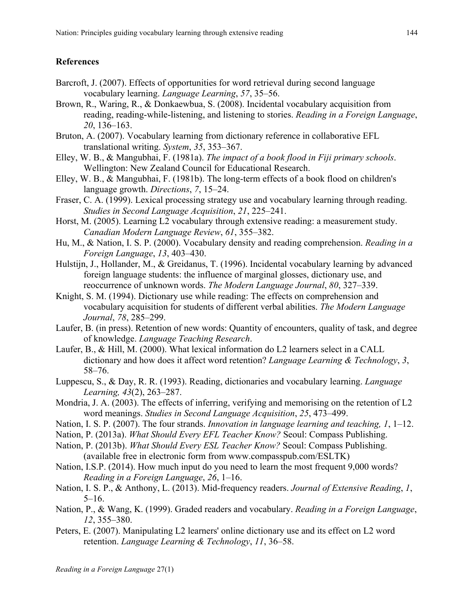## **References**

- Barcroft, J. (2007). Effects of opportunities for word retrieval during second language vocabulary learning. *Language Learning*, *57*, 35–56.
- Brown, R., Waring, R., & Donkaewbua, S. (2008). Incidental vocabulary acquisition from reading, reading-while-listening, and listening to stories. *Reading in a Foreign Language*, *20*, 136–163.
- Bruton, A. (2007). Vocabulary learning from dictionary reference in collaborative EFL translational writing. *System*, *35*, 353–367.
- Elley, W. B., & Mangubhai, F. (1981a). *The impact of a book flood in Fiji primary schools*. Wellington: New Zealand Council for Educational Research.
- Elley, W. B., & Mangubhai, F. (1981b). The long-term effects of a book flood on children's language growth. *Directions*, *7*, 15–24.
- Fraser, C. A. (1999). Lexical processing strategy use and vocabulary learning through reading. *Studies in Second Language Acquisition*, *21*, 225–241.
- Horst, M. (2005). Learning L2 vocabulary through extensive reading: a measurement study. *Canadian Modern Language Review*, *61*, 355–382.
- Hu, M., & Nation, I. S. P. (2000). Vocabulary density and reading comprehension. *Reading in a Foreign Language*, *13*, 403–430.
- Hulstijn, J., Hollander, M., & Greidanus, T. (1996). Incidental vocabulary learning by advanced foreign language students: the influence of marginal glosses, dictionary use, and reoccurrence of unknown words. *The Modern Language Journal*, *80*, 327–339.
- Knight, S. M. (1994). Dictionary use while reading: The effects on comprehension and vocabulary acquisition for students of different verbal abilities. *The Modern Language Journal*, *78*, 285–299.
- Laufer, B. (in press). Retention of new words: Quantity of encounters, quality of task, and degree of knowledge. *Language Teaching Research*.
- Laufer, B., & Hill, M. (2000). What lexical information do L2 learners select in a CALL dictionary and how does it affect word retention? *Language Learning & Technology*, *3*, 58–76.
- Luppescu, S., & Day, R. R. (1993). Reading, dictionaries and vocabulary learning. *Language Learning, 43*(2), 263–287.
- Mondria, J. A. (2003). The effects of inferring, verifying and memorising on the retention of L2 word meanings. *Studies in Second Language Acquisition*, *25*, 473–499.
- Nation, I. S. P. (2007). The four strands. *Innovation in language learning and teaching, 1*, 1–12.
- Nation, P. (2013a). *What Should Every EFL Teacher Know?* Seoul: Compass Publishing.
- Nation, P. (2013b). *What Should Every ESL Teacher Know?* Seoul: Compass Publishing. (available free in electronic form from www.compasspub.com/ESLTK)
- Nation, I.S.P. (2014). How much input do you need to learn the most frequent 9,000 words? *Reading in a Foreign Language*, *26*, 1–16.
- Nation, I. S. P., & Anthony, L. (2013). Mid-frequency readers. *Journal of Extensive Reading*, *1*, 5–16.
- Nation, P., & Wang, K. (1999). Graded readers and vocabulary. *Reading in a Foreign Language*, *12*, 355–380.
- Peters, E. (2007). Manipulating L2 learners' online dictionary use and its effect on L2 word retention. *Language Learning & Technology*, *11*, 36–58.